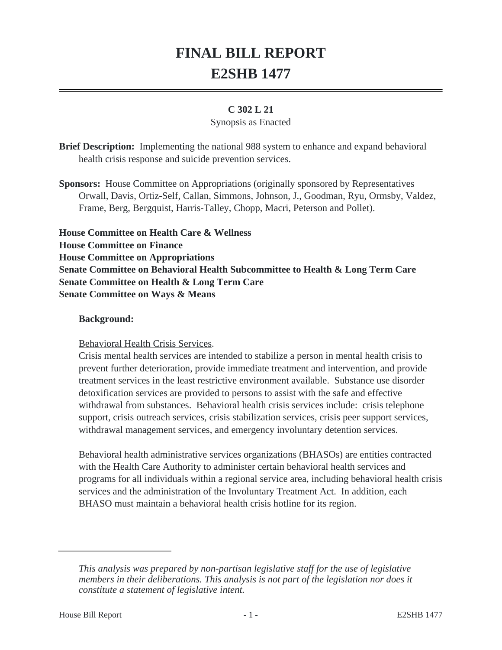# **FINAL BILL REPORT E2SHB 1477**

#### **C 302 L 21**

#### Synopsis as Enacted

**Brief Description:** Implementing the national 988 system to enhance and expand behavioral health crisis response and suicide prevention services.

**Sponsors:** House Committee on Appropriations (originally sponsored by Representatives Orwall, Davis, Ortiz-Self, Callan, Simmons, Johnson, J., Goodman, Ryu, Ormsby, Valdez, Frame, Berg, Bergquist, Harris-Talley, Chopp, Macri, Peterson and Pollet).

**House Committee on Health Care & Wellness House Committee on Finance House Committee on Appropriations Senate Committee on Behavioral Health Subcommittee to Health & Long Term Care Senate Committee on Health & Long Term Care Senate Committee on Ways & Means**

#### **Background:**

Behavioral Health Crisis Services.

Crisis mental health services are intended to stabilize a person in mental health crisis to prevent further deterioration, provide immediate treatment and intervention, and provide treatment services in the least restrictive environment available. Substance use disorder detoxification services are provided to persons to assist with the safe and effective withdrawal from substances. Behavioral health crisis services include: crisis telephone support, crisis outreach services, crisis stabilization services, crisis peer support services, withdrawal management services, and emergency involuntary detention services.

Behavioral health administrative services organizations (BHASOs) are entities contracted with the Health Care Authority to administer certain behavioral health services and programs for all individuals within a regional service area, including behavioral health crisis services and the administration of the Involuntary Treatment Act. In addition, each BHASO must maintain a behavioral health crisis hotline for its region.

*This analysis was prepared by non-partisan legislative staff for the use of legislative members in their deliberations. This analysis is not part of the legislation nor does it constitute a statement of legislative intent.*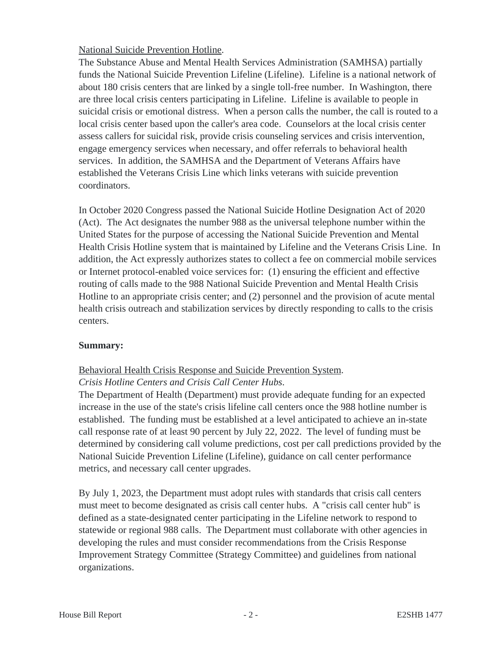# National Suicide Prevention Hotline.

The Substance Abuse and Mental Health Services Administration (SAMHSA) partially funds the National Suicide Prevention Lifeline (Lifeline). Lifeline is a national network of about 180 crisis centers that are linked by a single toll-free number. In Washington, there are three local crisis centers participating in Lifeline. Lifeline is available to people in suicidal crisis or emotional distress. When a person calls the number, the call is routed to a local crisis center based upon the caller's area code. Counselors at the local crisis center assess callers for suicidal risk, provide crisis counseling services and crisis intervention, engage emergency services when necessary, and offer referrals to behavioral health services. In addition, the SAMHSA and the Department of Veterans Affairs have established the Veterans Crisis Line which links veterans with suicide prevention coordinators.

In October 2020 Congress passed the National Suicide Hotline Designation Act of 2020 (Act). The Act designates the number 988 as the universal telephone number within the United States for the purpose of accessing the National Suicide Prevention and Mental Health Crisis Hotline system that is maintained by Lifeline and the Veterans Crisis Line. In addition, the Act expressly authorizes states to collect a fee on commercial mobile services or Internet protocol-enabled voice services for: (1) ensuring the efficient and effective routing of calls made to the 988 National Suicide Prevention and Mental Health Crisis Hotline to an appropriate crisis center; and (2) personnel and the provision of acute mental health crisis outreach and stabilization services by directly responding to calls to the crisis centers.

#### **Summary:**

# Behavioral Health Crisis Response and Suicide Prevention System. *Crisis Hotline Centers and Crisis Call Center Hubs*.

The Department of Health (Department) must provide adequate funding for an expected increase in the use of the state's crisis lifeline call centers once the 988 hotline number is established. The funding must be established at a level anticipated to achieve an in-state call response rate of at least 90 percent by July 22, 2022. The level of funding must be determined by considering call volume predictions, cost per call predictions provided by the National Suicide Prevention Lifeline (Lifeline), guidance on call center performance metrics, and necessary call center upgrades.

By July 1, 2023, the Department must adopt rules with standards that crisis call centers must meet to become designated as crisis call center hubs. A "crisis call center hub" is defined as a state-designated center participating in the Lifeline network to respond to statewide or regional 988 calls. The Department must collaborate with other agencies in developing the rules and must consider recommendations from the Crisis Response Improvement Strategy Committee (Strategy Committee) and guidelines from national organizations.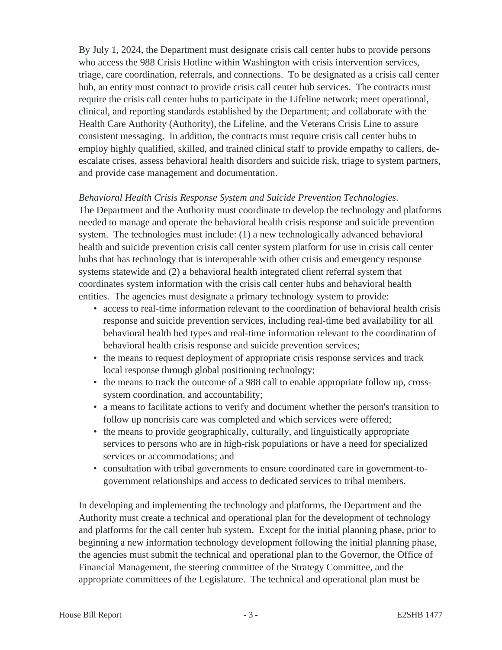By July 1, 2024, the Department must designate crisis call center hubs to provide persons who access the 988 Crisis Hotline within Washington with crisis intervention services, triage, care coordination, referrals, and connections. To be designated as a crisis call center hub, an entity must contract to provide crisis call center hub services. The contracts must require the crisis call center hubs to participate in the Lifeline network; meet operational, clinical, and reporting standards established by the Department; and collaborate with the Health Care Authority (Authority), the Lifeline, and the Veterans Crisis Line to assure consistent messaging. In addition, the contracts must require crisis call center hubs to employ highly qualified, skilled, and trained clinical staff to provide empathy to callers, deescalate crises, assess behavioral health disorders and suicide risk, triage to system partners, and provide case management and documentation.

#### *Behavioral Health Crisis Response System and Suicide Prevention Technologies*.

The Department and the Authority must coordinate to develop the technology and platforms needed to manage and operate the behavioral health crisis response and suicide prevention system. The technologies must include: (1) a new technologically advanced behavioral health and suicide prevention crisis call center system platform for use in crisis call center hubs that has technology that is interoperable with other crisis and emergency response systems statewide and (2) a behavioral health integrated client referral system that coordinates system information with the crisis call center hubs and behavioral health entities. The agencies must designate a primary technology system to provide:

- access to real-time information relevant to the coordination of behavioral health crisis response and suicide prevention services, including real-time bed availability for all behavioral health bed types and real-time information relevant to the coordination of behavioral health crisis response and suicide prevention services;
- the means to request deployment of appropriate crisis response services and track local response through global positioning technology;
- the means to track the outcome of a 988 call to enable appropriate follow up, crosssystem coordination, and accountability;
- a means to facilitate actions to verify and document whether the person's transition to follow up noncrisis care was completed and which services were offered;
- the means to provide geographically, culturally, and linguistically appropriate services to persons who are in high-risk populations or have a need for specialized services or accommodations; and
- consultation with tribal governments to ensure coordinated care in government-togovernment relationships and access to dedicated services to tribal members.

In developing and implementing the technology and platforms, the Department and the Authority must create a technical and operational plan for the development of technology and platforms for the call center hub system. Except for the initial planning phase, prior to beginning a new information technology development following the initial planning phase, the agencies must submit the technical and operational plan to the Governor, the Office of Financial Management, the steering committee of the Strategy Committee, and the appropriate committees of the Legislature. The technical and operational plan must be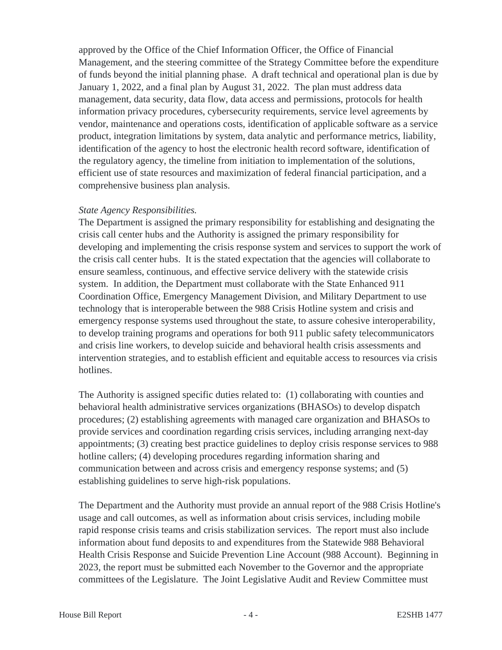approved by the Office of the Chief Information Officer, the Office of Financial Management, and the steering committee of the Strategy Committee before the expenditure of funds beyond the initial planning phase. A draft technical and operational plan is due by January 1, 2022, and a final plan by August 31, 2022. The plan must address data management, data security, data flow, data access and permissions, protocols for health information privacy procedures, cybersecurity requirements, service level agreements by vendor, maintenance and operations costs, identification of applicable software as a service product, integration limitations by system, data analytic and performance metrics, liability, identification of the agency to host the electronic health record software, identification of the regulatory agency, the timeline from initiation to implementation of the solutions, efficient use of state resources and maximization of federal financial participation, and a comprehensive business plan analysis.

#### *State Agency Responsibilities.*

The Department is assigned the primary responsibility for establishing and designating the crisis call center hubs and the Authority is assigned the primary responsibility for developing and implementing the crisis response system and services to support the work of the crisis call center hubs. It is the stated expectation that the agencies will collaborate to ensure seamless, continuous, and effective service delivery with the statewide crisis system. In addition, the Department must collaborate with the State Enhanced 911 Coordination Office, Emergency Management Division, and Military Department to use technology that is interoperable between the 988 Crisis Hotline system and crisis and emergency response systems used throughout the state, to assure cohesive interoperability, to develop training programs and operations for both 911 public safety telecommunicators and crisis line workers, to develop suicide and behavioral health crisis assessments and intervention strategies, and to establish efficient and equitable access to resources via crisis hotlines.

The Authority is assigned specific duties related to: (1) collaborating with counties and behavioral health administrative services organizations (BHASOs) to develop dispatch procedures; (2) establishing agreements with managed care organization and BHASOs to provide services and coordination regarding crisis services, including arranging next-day appointments; (3) creating best practice guidelines to deploy crisis response services to 988 hotline callers; (4) developing procedures regarding information sharing and communication between and across crisis and emergency response systems; and (5) establishing guidelines to serve high-risk populations.

The Department and the Authority must provide an annual report of the 988 Crisis Hotline's usage and call outcomes, as well as information about crisis services, including mobile rapid response crisis teams and crisis stabilization services. The report must also include information about fund deposits to and expenditures from the Statewide 988 Behavioral Health Crisis Response and Suicide Prevention Line Account (988 Account). Beginning in 2023, the report must be submitted each November to the Governor and the appropriate committees of the Legislature. The Joint Legislative Audit and Review Committee must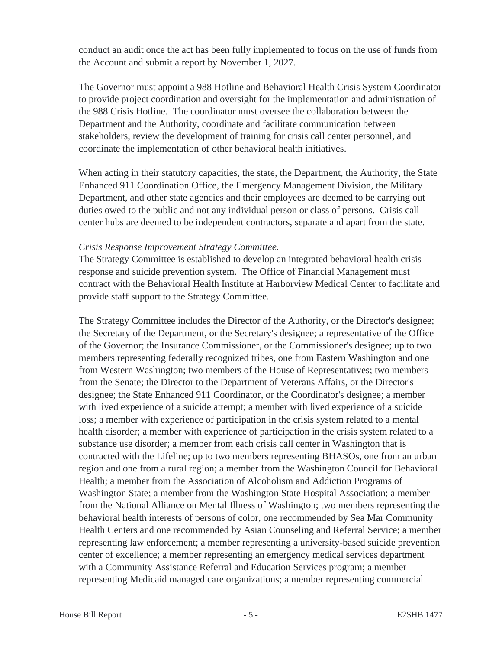conduct an audit once the act has been fully implemented to focus on the use of funds from the Account and submit a report by November 1, 2027.

The Governor must appoint a 988 Hotline and Behavioral Health Crisis System Coordinator to provide project coordination and oversight for the implementation and administration of the 988 Crisis Hotline. The coordinator must oversee the collaboration between the Department and the Authority, coordinate and facilitate communication between stakeholders, review the development of training for crisis call center personnel, and coordinate the implementation of other behavioral health initiatives.

When acting in their statutory capacities, the state, the Department, the Authority, the State Enhanced 911 Coordination Office, the Emergency Management Division, the Military Department, and other state agencies and their employees are deemed to be carrying out duties owed to the public and not any individual person or class of persons. Crisis call center hubs are deemed to be independent contractors, separate and apart from the state.

#### *Crisis Response Improvement Strategy Committee.*

The Strategy Committee is established to develop an integrated behavioral health crisis response and suicide prevention system. The Office of Financial Management must contract with the Behavioral Health Institute at Harborview Medical Center to facilitate and provide staff support to the Strategy Committee.

The Strategy Committee includes the Director of the Authority, or the Director's designee; the Secretary of the Department, or the Secretary's designee; a representative of the Office of the Governor; the Insurance Commissioner, or the Commissioner's designee; up to two members representing federally recognized tribes, one from Eastern Washington and one from Western Washington; two members of the House of Representatives; two members from the Senate; the Director to the Department of Veterans Affairs, or the Director's designee; the State Enhanced 911 Coordinator, or the Coordinator's designee; a member with lived experience of a suicide attempt; a member with lived experience of a suicide loss; a member with experience of participation in the crisis system related to a mental health disorder; a member with experience of participation in the crisis system related to a substance use disorder; a member from each crisis call center in Washington that is contracted with the Lifeline; up to two members representing BHASOs, one from an urban region and one from a rural region; a member from the Washington Council for Behavioral Health; a member from the Association of Alcoholism and Addiction Programs of Washington State; a member from the Washington State Hospital Association; a member from the National Alliance on Mental Illness of Washington; two members representing the behavioral health interests of persons of color, one recommended by Sea Mar Community Health Centers and one recommended by Asian Counseling and Referral Service; a member representing law enforcement; a member representing a university-based suicide prevention center of excellence; a member representing an emergency medical services department with a Community Assistance Referral and Education Services program; a member representing Medicaid managed care organizations; a member representing commercial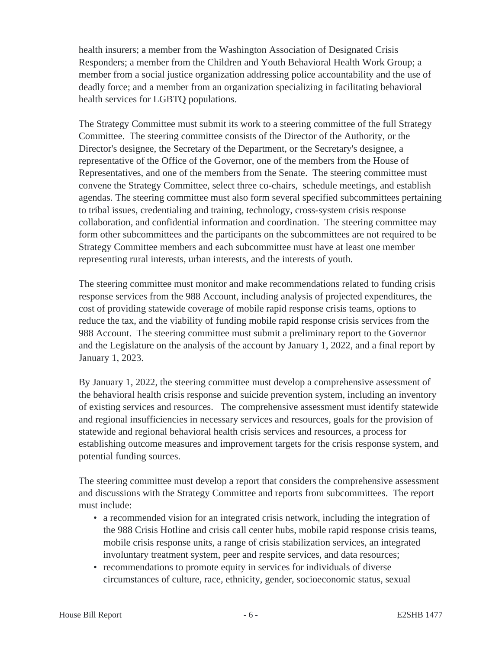health insurers; a member from the Washington Association of Designated Crisis Responders; a member from the Children and Youth Behavioral Health Work Group; a member from a social justice organization addressing police accountability and the use of deadly force; and a member from an organization specializing in facilitating behavioral health services for LGBTQ populations.

The Strategy Committee must submit its work to a steering committee of the full Strategy Committee. The steering committee consists of the Director of the Authority, or the Director's designee, the Secretary of the Department, or the Secretary's designee, a representative of the Office of the Governor, one of the members from the House of Representatives, and one of the members from the Senate. The steering committee must convene the Strategy Committee, select three co-chairs, schedule meetings, and establish agendas. The steering committee must also form several specified subcommittees pertaining to tribal issues, credentialing and training, technology, cross-system crisis response collaboration, and confidential information and coordination. The steering committee may form other subcommittees and the participants on the subcommittees are not required to be Strategy Committee members and each subcommittee must have at least one member representing rural interests, urban interests, and the interests of youth.

The steering committee must monitor and make recommendations related to funding crisis response services from the 988 Account, including analysis of projected expenditures, the cost of providing statewide coverage of mobile rapid response crisis teams, options to reduce the tax, and the viability of funding mobile rapid response crisis services from the 988 Account. The steering committee must submit a preliminary report to the Governor and the Legislature on the analysis of the account by January 1, 2022, and a final report by January 1, 2023.

By January 1, 2022, the steering committee must develop a comprehensive assessment of the behavioral health crisis response and suicide prevention system, including an inventory of existing services and resources. The comprehensive assessment must identify statewide and regional insufficiencies in necessary services and resources, goals for the provision of statewide and regional behavioral health crisis services and resources, a process for establishing outcome measures and improvement targets for the crisis response system, and potential funding sources.

The steering committee must develop a report that considers the comprehensive assessment and discussions with the Strategy Committee and reports from subcommittees. The report must include:

- a recommended vision for an integrated crisis network, including the integration of the 988 Crisis Hotline and crisis call center hubs, mobile rapid response crisis teams, mobile crisis response units, a range of crisis stabilization services, an integrated involuntary treatment system, peer and respite services, and data resources;
- recommendations to promote equity in services for individuals of diverse circumstances of culture, race, ethnicity, gender, socioeconomic status, sexual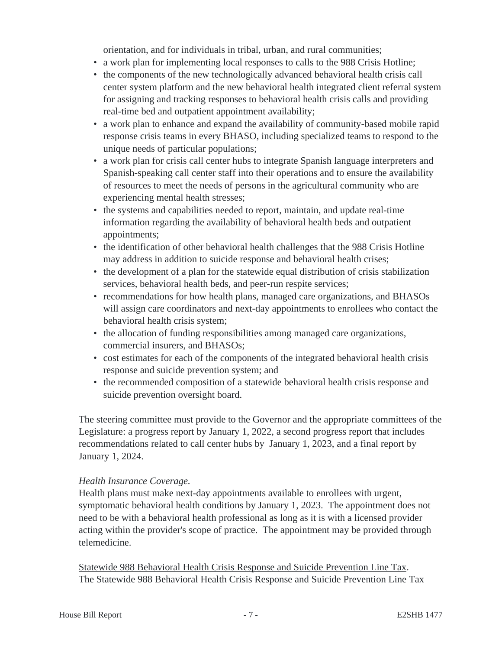orientation, and for individuals in tribal, urban, and rural communities;

- a work plan for implementing local responses to calls to the 988 Crisis Hotline;
- the components of the new technologically advanced behavioral health crisis call center system platform and the new behavioral health integrated client referral system for assigning and tracking responses to behavioral health crisis calls and providing real-time bed and outpatient appointment availability;
- a work plan to enhance and expand the availability of community-based mobile rapid response crisis teams in every BHASO, including specialized teams to respond to the unique needs of particular populations;
- a work plan for crisis call center hubs to integrate Spanish language interpreters and Spanish-speaking call center staff into their operations and to ensure the availability of resources to meet the needs of persons in the agricultural community who are experiencing mental health stresses;
- the systems and capabilities needed to report, maintain, and update real-time information regarding the availability of behavioral health beds and outpatient appointments;
- the identification of other behavioral health challenges that the 988 Crisis Hotline may address in addition to suicide response and behavioral health crises;
- the development of a plan for the statewide equal distribution of crisis stabilization services, behavioral health beds, and peer-run respite services;
- recommendations for how health plans, managed care organizations, and BHASOs will assign care coordinators and next-day appointments to enrollees who contact the behavioral health crisis system;
- the allocation of funding responsibilities among managed care organizations, commercial insurers, and BHASOs;
- cost estimates for each of the components of the integrated behavioral health crisis response and suicide prevention system; and
- the recommended composition of a statewide behavioral health crisis response and suicide prevention oversight board.

The steering committee must provide to the Governor and the appropriate committees of the Legislature: a progress report by January 1, 2022, a second progress report that includes recommendations related to call center hubs by January 1, 2023, and a final report by January 1, 2024.

# *Health Insurance Coverage.*

Health plans must make next-day appointments available to enrollees with urgent, symptomatic behavioral health conditions by January 1, 2023. The appointment does not need to be with a behavioral health professional as long as it is with a licensed provider acting within the provider's scope of practice. The appointment may be provided through telemedicine.

Statewide 988 Behavioral Health Crisis Response and Suicide Prevention Line Tax. The Statewide 988 Behavioral Health Crisis Response and Suicide Prevention Line Tax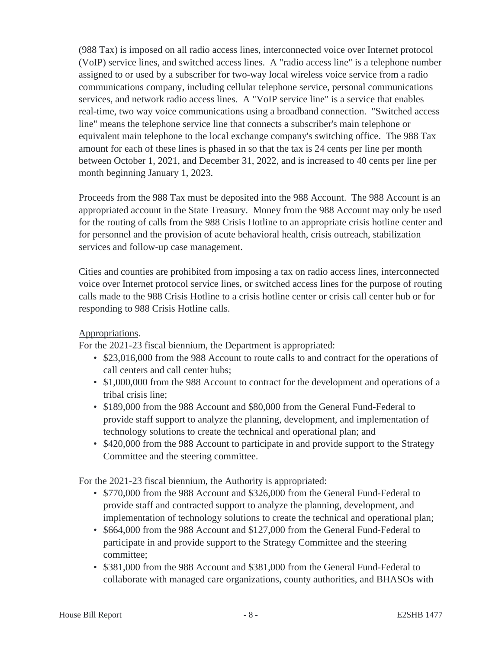(988 Tax) is imposed on all radio access lines, interconnected voice over Internet protocol (VoIP) service lines, and switched access lines. A "radio access line" is a telephone number assigned to or used by a subscriber for two-way local wireless voice service from a radio communications company, including cellular telephone service, personal communications services, and network radio access lines. A "VoIP service line" is a service that enables real-time, two way voice communications using a broadband connection. "Switched access line" means the telephone service line that connects a subscriber's main telephone or equivalent main telephone to the local exchange company's switching office. The 988 Tax amount for each of these lines is phased in so that the tax is 24 cents per line per month between October 1, 2021, and December 31, 2022, and is increased to 40 cents per line per month beginning January 1, 2023.

Proceeds from the 988 Tax must be deposited into the 988 Account. The 988 Account is an appropriated account in the State Treasury. Money from the 988 Account may only be used for the routing of calls from the 988 Crisis Hotline to an appropriate crisis hotline center and for personnel and the provision of acute behavioral health, crisis outreach, stabilization services and follow-up case management.

Cities and counties are prohibited from imposing a tax on radio access lines, interconnected voice over Internet protocol service lines, or switched access lines for the purpose of routing calls made to the 988 Crisis Hotline to a crisis hotline center or crisis call center hub or for responding to 988 Crisis Hotline calls.

# Appropriations.

For the 2021-23 fiscal biennium, the Department is appropriated:

- \$23,016,000 from the 988 Account to route calls to and contract for the operations of call centers and call center hubs;
- \$1,000,000 from the 988 Account to contract for the development and operations of a tribal crisis line;
- \$189,000 from the 988 Account and \$80,000 from the General Fund-Federal to provide staff support to analyze the planning, development, and implementation of technology solutions to create the technical and operational plan; and
- \$420,000 from the 988 Account to participate in and provide support to the Strategy Committee and the steering committee.

For the 2021-23 fiscal biennium, the Authority is appropriated:

- \$770,000 from the 988 Account and \$326,000 from the General Fund-Federal to provide staff and contracted support to analyze the planning, development, and implementation of technology solutions to create the technical and operational plan;
- \$664,000 from the 988 Account and \$127,000 from the General Fund-Federal to participate in and provide support to the Strategy Committee and the steering committee;
- \$381,000 from the 988 Account and \$381,000 from the General Fund-Federal to collaborate with managed care organizations, county authorities, and BHASOs with